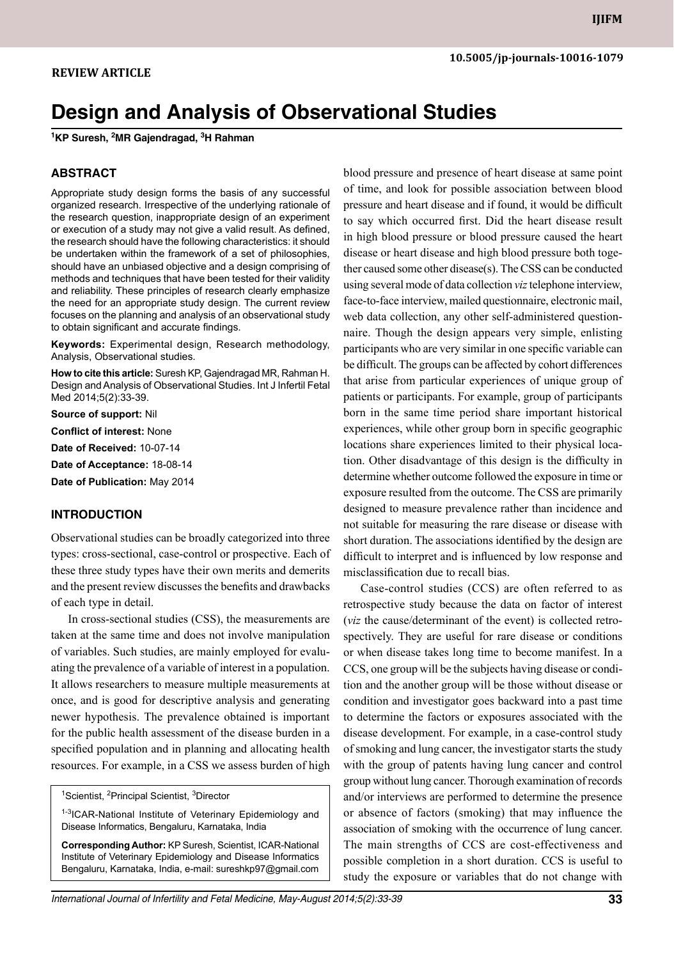# **Design and Analysis of Observational Studies**

**1 KP Suresh, 2 MR Gajendragad, 3 H Rahman**

#### **ABSTRACT**

Appropriate study design forms the basis of any successful organized research. Irrespective of the underlying rationale of the research question, inappropriate design of an experiment or execution of a study may not give a valid result. As defined, the research should have the following characteristics: it should be undertaken within the framework of a set of philosophies, should have an unbiased objective and a design comprising of methods and techniques that have been tested for their validity and reliability. These principles of research clearly emphasize the need for an appropriate study design. The current review focuses on the planning and analysis of an observational study to obtain significant and accurate findings.

Keywords: Experimental design, Research methodology, analysis, observational studies.

**How to cite this article:** Suresh KP, Gajendragad MR, Rahman H. Design and Analysis of Observational Studies. Int J Infertil Fetal Med 2014;5(2):33-39.

**Source of support:** Nil **Conflict of interest:** None **Date of Received:** 10-07-14 **Date of Acceptance:** 18-08-14

**Date of Publication:** May 2014

#### **Introduction**

Observational studies can be broadly categorized into three types: cross-sectional, case-control or prospective. Each of these three study types have their own merits and demerits and the present review discusses the benefits and drawbacks of each type in detail.

In cross-sectional studies (CSS), the measurements are taken at the same time and does not involve manipulation of variables. Such studies, are mainly employed for evaluating the prevalence of a variable of interest in a population. It allows researchers to measure multiple measurements at once, and is good for descriptive analysis and generating newer hypothesis. The prevalence obtained is important for the public health assessment of the disease burden in a specified population and in planning and allocating health resources. For example, in a CSS we assess burden of high

<sup>1</sup>Scientist, <sup>2</sup>Principal Scientist, <sup>3</sup>Director

<sup>1-3</sup>ICAR-National Institute of Veterinary Epidemiology and Disease Informatics, Bengaluru, Karnataka, India

**Corresponding Author:** KP Suresh, Scientist, ICAR-National Institute of Veterinary Epidemiology and Disease Informatics Bengaluru, Karnataka, India, e-mail: sureshkp97@gmail.com

blood pressure and presence of heart disease at same point of time, and look for possible association between blood pressure and heart disease and if found, it would be difficult to say which occurred first. Did the heart disease result in high blood pressure or blood pressure caused the heart disease or heart disease and high blood pressure both together caused some other disease(s). The CSS can be conducted using several mode of data collection *viz* telephone interview, face-to-face interview, mailed questionnaire, electronic mail, web data collection, any other self-administered questionnaire. Though the design appears very simple, enlisting participants who are very similar in one specific variable can be difficult. The groups can be affected by cohort differences that arise from particular experiences of unique group of patients or participants. For example, group of participants born in the same time period share important historical experiences, while other group born in specific geographic locations share experiences limited to their physical location. Other disadvantage of this design is the difficulty in determine whether outcome followed the exposure in time or exposure resulted from the outcome. The CSS are primarily designed to measure prevalence rather than incidence and not suitable for measuring the rare disease or disease with short duration. The associations identified by the design are difficult to interpret and is influenced by low response and misclassification due to recall bias.

Case-control studies (CCS) are often referred to as retrospective study because the data on factor of interest (*viz* the cause/determinant of the event) is collected retrospectively. They are useful for rare disease or conditions or when disease takes long time to become manifest. In a CCS, one group will be the subjects having disease or condition and the another group will be those without disease or condition and investigator goes backward into a past time to determine the factors or exposures associated with the disease development. For example, in a case-control study of smoking and lung cancer, the investigator starts the study with the group of patents having lung cancer and control group without lung cancer. Thorough examination of records and/or interviews are performed to determine the presence or absence of factors (smoking) that may influence the association of smoking with the occurrence of lung cancer. The main strengths of CCS are cost-effectiveness and possible completion in a short duration. CCS is useful to study the exposure or variables that do not change with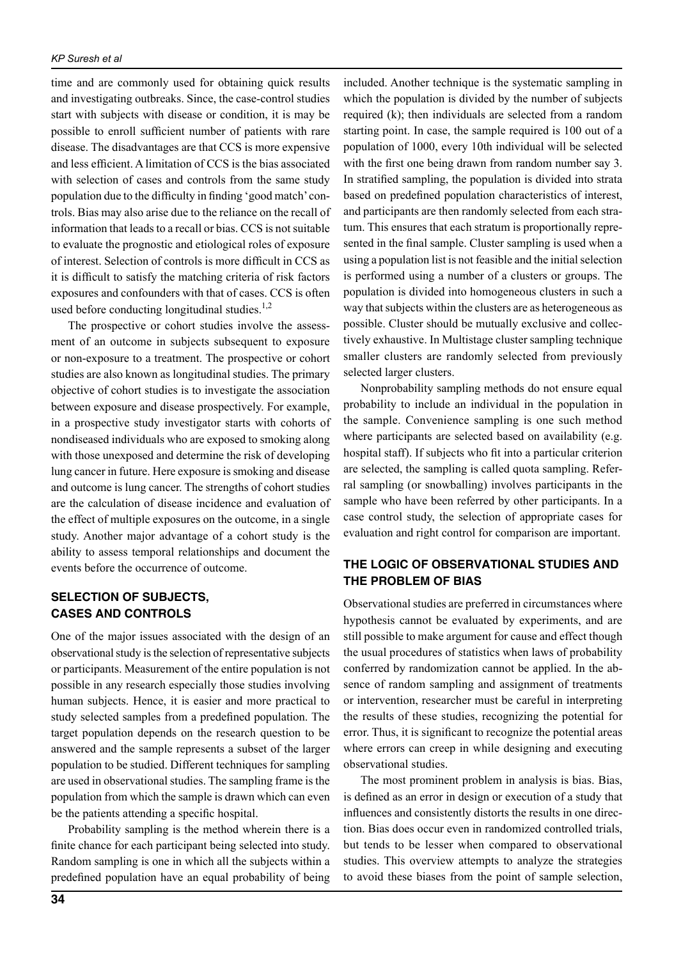time and are commonly used for obtaining quick results and investigating outbreaks. Since, the case-control studies start with subjects with disease or condition, it is may be possible to enroll sufficient number of patients with rare disease. The disadvantages are that CCS is more expensive and less efficient. A limitation of CCS is the bias associated with selection of cases and controls from the same study population due to the difficulty in finding 'good match' controls. Bias may also arise due to the reliance on the recall of information that leads to a recall or bias. CCS is not suitable to evaluate the prognostic and etiological roles of exposure of interest. Selection of controls is more difficult in ccs as it is difficult to satisfy the matching criteria of risk factors exposures and confounders with that of cases. CCS is often used before conducting longitudinal studies. $1,2$ 

The prospective or cohort studies involve the assessment of an outcome in subjects subsequent to exposure or non-exposure to a treatment. The prospective or cohort studies are also known as longitudinal studies. The primary objective of cohort studies is to investigate the association between exposure and disease prospectively. For example, in a prospective study investigator starts with cohorts of nondiseased individuals who are exposed to smoking along with those unexposed and determine the risk of developing lung cancer in future. Here exposure is smoking and disease and outcome is lung cancer. The strengths of cohort studies are the calculation of disease incidence and evaluation of the effect of multiple exposures on the outcome, in a single study. Another major advantage of a cohort study is the ability to assess temporal relationships and document the events before the occurrence of outcome.

## **Selection of subjects, cases and controls**

One of the major issues associated with the design of an observational study is the selection of representative subjects or participants. Measurement of the entire population is not possible in any research especially those studies involving human subjects. Hence, it is easier and more practical to study selected samples from a predefined population. The target population depends on the research question to be answered and the sample represents a subset of the larger population to be studied. Different techniques for sampling are used in observational studies. The sampling frame is the population from which the sample is drawn which can even be the patients attending a specific hospital.

Probability sampling is the method wherein there is a finite chance for each participant being selected into study. Random sampling is one in which all the subjects within a predefined population have an equal probability of being

included. Another technique is the systematic sampling in which the population is divided by the number of subjects required (k); then individuals are selected from a random starting point. In case, the sample required is 100 out of a population of 1000, every 10th individual will be selected with the first one being drawn from random number say 3. In stratified sampling, the population is divided into strata based on predefined population characteristics of interest, and participants are then randomly selected from each stratum. This ensures that each stratum is proportionally represented in the final sample. Cluster sampling is used when a using a population list is not feasible and the initial selection is performed using a number of a clusters or groups. The population is divided into homogeneous clusters in such a way that subjects within the clusters are as heterogeneous as possible. Cluster should be mutually exclusive and collectively exhaustive. In Multistage cluster sampling technique smaller clusters are randomly selected from previously selected larger clusters.

Nonprobability sampling methods do not ensure equal probability to include an individual in the population in the sample. Convenience sampling is one such method where participants are selected based on availability (e.g. hospital staff). If subjects who fit into a particular criterion are selected, the sampling is called quota sampling. Referral sampling (or snowballing) involves participants in the sample who have been referred by other participants. In a case control study, the selection of appropriate cases for evaluation and right control for comparison are important.

# **The logic of observational studies and the problem of bias**

Observational studies are preferred in circumstances where hypothesis cannot be evaluated by experiments, and are still possible to make argument for cause and effect though the usual procedures of statistics when laws of probability conferred by randomization cannot be applied. In the absence of random sampling and assignment of treatments or intervention, researcher must be careful in interpreting the results of these studies, recognizing the potential for error. Thus, it is significant to recognize the potential areas where errors can creep in while designing and executing observational studies.

The most prominent problem in analysis is bias. Bias, is defined as an error in design or execution of a study that influences and consistently distorts the results in one direction. Bias does occur even in randomized controlled trials, but tends to be lesser when compared to observational studies. This overview attempts to analyze the strategies to avoid these biases from the point of sample selection,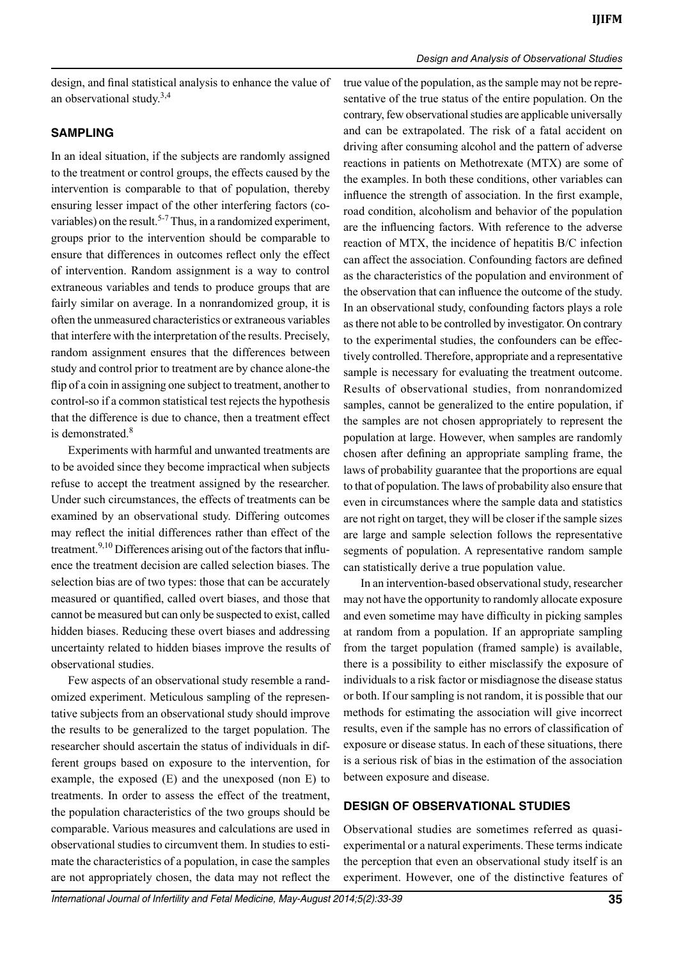design, and final statistical analysis to enhance the value of an observational study. $3,4$ 

## **Sampling**

In an ideal situation, if the subjects are randomly assigned to the treatment or control groups, the effects caused by the intervention is comparable to that of population, thereby ensuring lesser impact of the other interfering factors (covariables) on the result.<sup>5-7</sup> Thus, in a randomized experiment, groups prior to the intervention should be comparable to ensure that differences in outcomes reflect only the effect of intervention. Random assignment is a way to control extraneous variables and tends to produce groups that are fairly similar on average. In a nonrandomized group, it is often the unmeasured characteristics or extraneous variables that interfere with the interpretation of the results. Precisely, random assignment ensures that the differences between study and control prior to treatment are by chance alone-the flip of a coin in assigning one subject to treatment, another to control-so if a common statistical test rejects the hypothesis that the difference is due to chance, then a treatment effect is demonstrated.<sup>8</sup>

Experiments with harmful and unwanted treatments are to be avoided since they become impractical when subjects refuse to accept the treatment assigned by the researcher. Under such circumstances, the effects of treatments can be examined by an observational study. Differing outcomes may reflect the initial differences rather than effect of the treatment.<sup>9,10</sup> Differences arising out of the factors that influence the treatment decision are called selection biases. The selection bias are of two types: those that can be accurately measured or quantified, called overt biases, and those that cannot be measured but can only be suspected to exist, called hidden biases. Reducing these overt biases and addressing uncertainty related to hidden biases improve the results of observational studies.

Few aspects of an observational study resemble a randomized experiment. Meticulous sampling of the representative subjects from an observational study should improve the results to be generalized to the target population. The researcher should ascertain the status of individuals in different groups based on exposure to the intervention, for example, the exposed (E) and the unexposed (non E) to treatments. In order to assess the effect of the treatment, the population characteristics of the two groups should be comparable. Various measures and calculations are used in observational studies to circumvent them. In studies to estimate the characteristics of a population, in case the samples are not appropriately chosen, the data may not reflect the

true value of the population, as the sample may not be representative of the true status of the entire population. On the contrary, few observational studies are applicable universally and can be extrapolated. The risk of a fatal accident on driving after consuming alcohol and the pattern of adverse reactions in patients on Methotrexate (MTX) are some of the examples. In both these conditions, other variables can influence the strength of association. In the first example, road condition, alcoholism and behavior of the population are the influencing factors. With reference to the adverse reaction of MTX, the incidence of hepatitis B/C infection can affect the association. Confounding factors are defined as the characteristics of the population and environment of the observation that can influence the outcome of the study. In an observational study, confounding factors plays a role as there not able to be controlled by investigator. On contrary to the experimental studies, the confounders can be effectively controlled. Therefore, appropriate and a representative sample is necessary for evaluating the treatment outcome. Results of observational studies, from nonrandomized samples, cannot be generalized to the entire population, if the samples are not chosen appropriately to represent the population at large. However, when samples are randomly chosen after defining an appropriate sampling frame, the laws of probability guarantee that the proportions are equal to that of population. The laws of probability also ensure that even in circumstances where the sample data and statistics are not right on target, they will be closer if the sample sizes are large and sample selection follows the representative segments of population. A representative random sample can statistically derive a true population value.

*Design and Analysis of Observational Studies*

In an intervention-based observational study, researcher may not have the opportunity to randomly allocate exposure and even sometime may have difficulty in picking samples at random from a population. If an appropriate sampling from the target population (framed sample) is available, there is a possibility to either misclassify the exposure of individuals to a risk factor or misdiagnose the disease status or both. If our sampling is not random, it is possible that our methods for estimating the association will give incorrect results, even if the sample has no errors of classification of exposure or disease status. In each of these situations, there is a serious risk of bias in the estimation of the association between exposure and disease.

## **Design of observational studies**

Observational studies are sometimes referred as quasiexperimental or a natural experiments. These terms indicate the perception that even an observational study itself is an experiment. However, one of the distinctive features of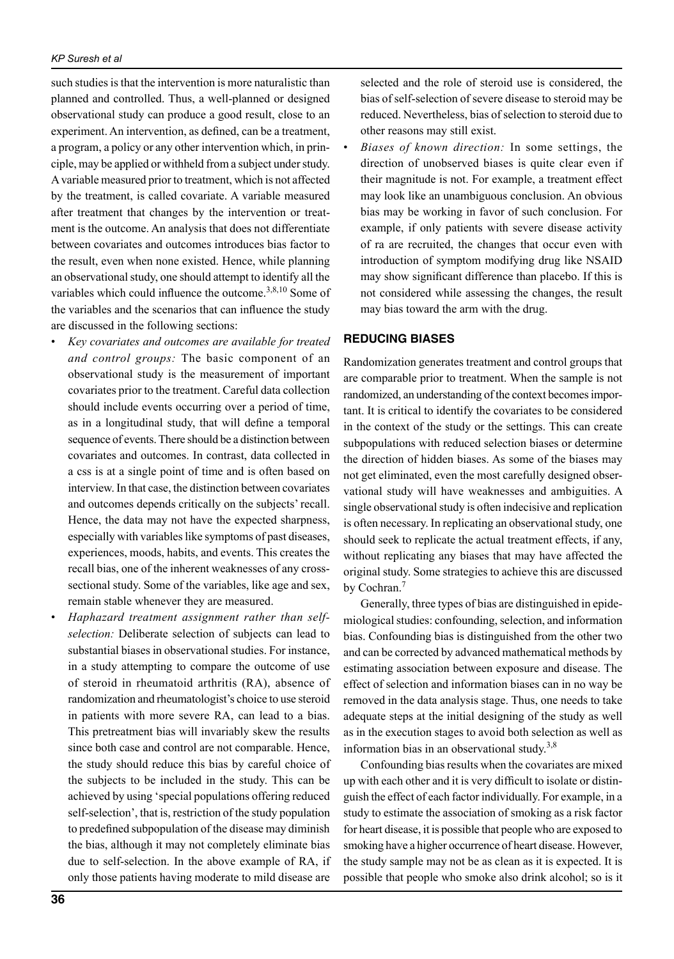such studies is that the intervention is more naturalistic than planned and controlled. Thus, a well-planned or designed observational study can produce a good result, close to an experiment. An intervention, as defined, can be a treatment, a program, a policy or any other intervention which, in principle, may be applied or withheld from a subject under study. A variable measured prior to treatment, which is not affected by the treatment, is called covariate. A variable measured after treatment that changes by the intervention or treatment is the outcome. An analysis that does not differentiate between covariates and outcomes introduces bias factor to the result, even when none existed. Hence, while planning an observational study, one should attempt to identify all the variables which could influence the outcome. $3,8,10$  Some of the variables and the scenarios that can influence the study are discussed in the following sections:

- *Key covariates and outcomes are available for treated and control groups:* The basic component of an observational study is the measurement of important covariates prior to the treatment. Careful data collection should include events occurring over a period of time, as in a longitudinal study, that will define a temporal sequence of events. There should be a distinction between covariates and outcomes. In contrast, data collected in a css is at a single point of time and is often based on interview. In that case, the distinction between covariates and outcomes depends critically on the subjects' recall. Hence, the data may not have the expected sharpness, especially with variables like symptoms of past diseases, experiences, moods, habits, and events. This creates the recall bias, one of the inherent weaknesses of any crosssectional study. Some of the variables, like age and sex, remain stable whenever they are measured.
- *Haphazard treatment assignment rather than selfselection:* Deliberate selection of subjects can lead to substantial biases in observational studies. For instance, in a study attempting to compare the outcome of use of steroid in rheumatoid arthritis (RA), absence of randomization and rheumatologist's choice to use steroid in patients with more severe RA, can lead to a bias. This pretreatment bias will invariably skew the results since both case and control are not comparable. Hence, the study should reduce this bias by careful choice of the subjects to be included in the study. This can be achieved by using 'special populations offering reduced self-selection', that is, restriction of the study population to predefined subpopulation of the disease may diminish the bias, although it may not completely eliminate bias due to self-selection. In the above example of RA, if only those patients having moderate to mild disease are

selected and the role of steroid use is considered, the bias of self-selection of severe disease to steroid may be reduced. Nevertheless, bias of selection to steroid due to other reasons may still exist.

• *Biases of known direction:* In some settings, the direction of unobserved biases is quite clear even if their magnitude is not. For example, a treatment effect may look like an unambiguous conclusion. An obvious bias may be working in favor of such conclusion. For example, if only patients with severe disease activity of ra are recruited, the changes that occur even with introduction of symptom modifying drug like NSAID may show significant difference than placebo. If this is not considered while assessing the changes, the result may bias toward the arm with the drug.

#### **Reducing biases**

Randomization generates treatment and control groups that are comparable prior to treatment. When the sample is not randomized, an understanding of the context becomes important. It is critical to identify the covariates to be considered in the context of the study or the settings. This can create subpopulations with reduced selection biases or determine the direction of hidden biases. As some of the biases may not get eliminated, even the most carefully designed observational study will have weaknesses and ambiguities. A single observational study is often indecisive and replication is often necessary. In replicating an observational study, one should seek to replicate the actual treatment effects, if any, without replicating any biases that may have affected the original study. Some strategies to achieve this are discussed by Cochran.<sup>7</sup>

Generally, three types of bias are distinguished in epidemiological studies: confounding, selection, and information bias. Confounding bias is distinguished from the other two and can be corrected by advanced mathematical methods by estimating association between exposure and disease. The effect of selection and information biases can in no way be removed in the data analysis stage. Thus, one needs to take adequate steps at the initial designing of the study as well as in the execution stages to avoid both selection as well as information bias in an observational study.<sup>3,8</sup>

Confounding bias results when the covariates are mixed up with each other and it is very difficult to isolate or distinguish the effect of each factor individually. For example, in a study to estimate the association of smoking as a risk factor for heart disease, it is possible that people who are exposed to smoking have a higher occurrence of heart disease. However, the study sample may not be as clean as it is expected. It is possible that people who smoke also drink alcohol; so is it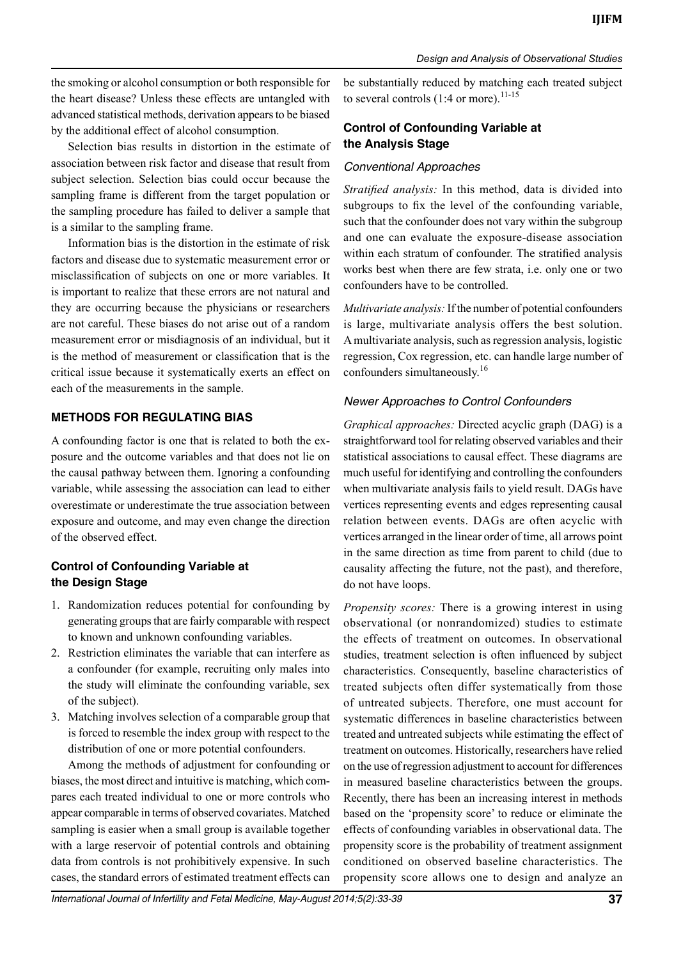the smoking or alcohol consumption or both responsible for the heart disease? Unless these effects are untangled with advanced statistical methods, derivation appears to be biased by the additional effect of alcohol consumption.

Selection bias results in distortion in the estimate of association between risk factor and disease that result from subject selection. Selection bias could occur because the sampling frame is different from the target population or the sampling procedure has failed to deliver a sample that is a similar to the sampling frame.

Information bias is the distortion in the estimate of risk factors and disease due to systematic measurement error or misclassification of subjects on one or more variables. It is important to realize that these errors are not natural and they are occurring because the physicians or researchers are not careful. These biases do not arise out of a random measurement error or misdiagnosis of an individual, but it is the method of measurement or classification that is the critical issue because it systematically exerts an effect on each of the measurements in the sample.

## **Methods for regulating bias**

A confounding factor is one that is related to both the exposure and the outcome variables and that does not lie on the causal pathway between them. Ignoring a confounding variable, while assessing the association can lead to either overestimate or underestimate the true association between exposure and outcome, and may even change the direction of the observed effect.

# **Control of Confounding Variable at the Design Stage**

- 1. Randomization reduces potential for confounding by generating groups that are fairly comparable with respect to known and unknown confounding variables.
- 2. Restriction eliminates the variable that can interfere as a confounder (for example, recruiting only males into the study will eliminate the confounding variable, sex of the subject).
- 3. Matching involves selection of a comparable group that is forced to resemble the index group with respect to the distribution of one or more potential confounders.

Among the methods of adjustment for confounding or biases, the most direct and intuitive is matching, which compares each treated individual to one or more controls who appear comparable in terms of observed covariates. Matched sampling is easier when a small group is available together with a large reservoir of potential controls and obtaining data from controls is not prohibitively expensive. In such cases, the standard errors of estimated treatment effects can

be substantially reduced by matching each treated subject to several controls  $(1:4 \text{ or more}).^{11-15}$ 

# **Control of Confounding Variable at the Analysis Stage**

### *Conventional approaches*

*Stratified analysis:* In this method, data is divided into subgroups to fix the level of the confounding variable, such that the confounder does not vary within the subgroup and one can evaluate the exposure-disease association within each stratum of confounder. The stratified analysis works best when there are few strata, i.e. only one or two confounders have to be controlled.

*Multivariate analysis:* If the number of potential confounders is large, multivariate analysis offers the best solution. A multivariate analysis, such as regression analysis, logistic regression, Cox regression, etc. can handle large number of confounders simultaneously.<sup>16</sup>

## *Newer Approaches to Control Confounders*

*Graphical approaches:* Directed acyclic graph (DAG) is a straightforward tool for relating observed variables and their statistical associations to causal effect. These diagrams are much useful for identifying and controlling the confounders when multivariate analysis fails to yield result. DAGs have vertices representing events and edges representing causal relation between events. DAGs are often acyclic with vertices arranged in the linear order of time, all arrows point in the same direction as time from parent to child (due to causality affecting the future, not the past), and therefore, do not have loops.

*Propensity scores:* There is a growing interest in using observational (or nonrandomized) studies to estimate the effects of treatment on outcomes. In observational studies, treatment selection is often influenced by subject characteristics. Consequently, baseline characteristics of treated subjects often differ systematically from those of untreated subjects. Therefore, one must account for systematic differences in baseline characteristics between treated and untreated subjects while estimating the effect of treatment on outcomes. Historically, researchers have relied on the use of regression adjustment to account for differences in measured baseline characteristics between the groups. Recently, there has been an increasing interest in methods based on the 'propensity score' to reduce or eliminate the effects of confounding variables in observational data. The propensity score is the probability of treatment assignment conditioned on observed baseline characteristics. The propensity score allows one to design and analyze an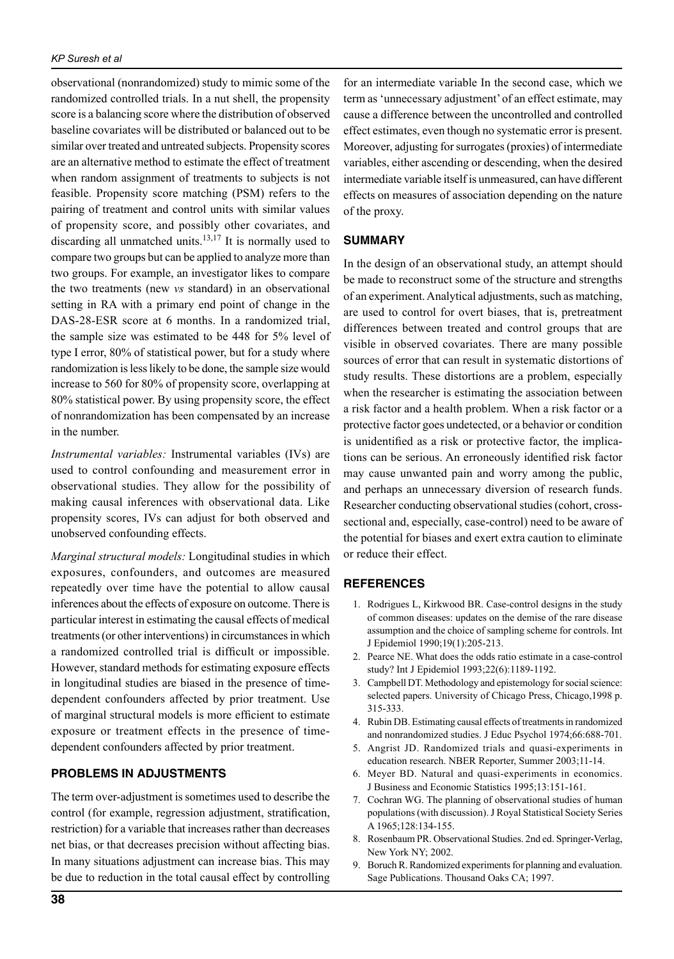observational (nonrandomized) study to mimic some of the randomized controlled trials. In a nut shell, the propensity score is a balancing score where the distribution of observed baseline covariates will be distributed or balanced out to be similar over treated and untreated subjects. Propensity scores are an alternative method to estimate the effect of treatment when random assignment of treatments to subjects is not feasible. Propensity score matching (PSM) refers to the pairing of treatment and control units with similar values of propensity score, and possibly other covariates, and discarding all unmatched units. $13,17$  It is normally used to compare two groups but can be applied to analyze more than two groups. For example, an investigator likes to compare the two treatments (new *vs* standard) in an observational setting in RA with a primary end point of change in the DAS-28-ESR score at 6 months. In a randomized trial, the sample size was estimated to be 448 for 5% level of type I error, 80% of statistical power, but for a study where randomization is less likely to be done, the sample size would increase to 560 for 80% of propensity score, overlapping at 80% statistical power. By using propensity score, the effect of nonrandomization has been compensated by an increase in the number.

*Instrumental variables:* Instrumental variables (IVs) are used to control confounding and measurement error in observational studies. They allow for the possibility of making causal inferences with observational data. Like propensity scores, IVs can adjust for both observed and unobserved confounding effects.

*Marginal structural models:* Longitudinal studies in which exposures, confounders, and outcomes are measured repeatedly over time have the potential to allow causal inferences about the effects of exposure on outcome. There is particular interest in estimating the causal effects of medical treatments (or other interventions) in circumstances in which a randomized controlled trial is difficult or impossible. However, standard methods for estimating exposure effects in longitudinal studies are biased in the presence of timedependent confounders affected by prior treatment. Use of marginal structural models is more efficient to estimate exposure or treatment effects in the presence of timedependent confounders affected by prior treatment.

# **Problems in adjustments**

The term over-adjustment is sometimes used to describe the control (for example, regression adjustment, stratification, restriction) for a variable that increases rather than decreases net bias, or that decreases precision without affecting bias. In many situations adjustment can increase bias. This may be due to reduction in the total causal effect by controlling

for an intermediate variable In the second case, which we term as 'unnecessary adjustment' of an effect estimate, may cause a difference between the uncontrolled and controlled effect estimates, even though no systematic error is present. Moreover, adjusting for surrogates (proxies) of intermediate variables, either ascending or descending, when the desired intermediate variable itself is unmeasured, can have different effects on measures of association depending on the nature of the proxy.

## **Summary**

In the design of an observational study, an attempt should be made to reconstruct some of the structure and strengths of an experiment. Analytical adjustments, such as matching, are used to control for overt biases, that is, pretreatment differences between treated and control groups that are visible in observed covariates. There are many possible sources of error that can result in systematic distortions of study results. These distortions are a problem, especially when the researcher is estimating the association between a risk factor and a health problem. When a risk factor or a protective factor goes undetected, or a behavior or condition is unidentified as a risk or protective factor, the implications can be serious. An erroneously identified risk factor may cause unwanted pain and worry among the public, and perhaps an unnecessary diversion of research funds. Researcher conducting observational studies (cohort, crosssectional and, especially, case-control) need to be aware of the potential for biases and exert extra caution to eliminate or reduce their effect.

# **References**

- 1. Rodrigues L, Kirkwood BR. Case-control designs in the study of common diseases: updates on the demise of the rare disease assumption and the choice of sampling scheme for controls. Int J Epidemiol 1990;19(1):205-213.
- 2. Pearce NE. What does the odds ratio estimate in a case-control study? Int J Epidemiol 1993;22(6):1189-1192.
- 3. Campbell DT. Methodology and epistemology for social science: selected papers. University of Chicago Press, Chicago,1998 p. 315-333.
- 4. Rubin DB. Estimating causal effects of treatments in randomized and nonrandomized studies. J Educ Psychol 1974;66:688-701.
- 5. Angrist JD. Randomized trials and quasi-experiments in education research. NBER Reporter, Summer 2003;11-14.
- 6. Meyer BD. Natural and quasi-experiments in economics. J Business and Economic Statistics 1995;13:151-161.
- 7. Cochran WG. The planning of observational studies of human populations (with discussion). J Royal Statistical Society Series A 1965;128:134-155.
- 8. Rosenbaum PR. Observational Studies. 2nd ed. Springer-Verlag, New York NY; 2002.
- 9. Boruch R. Randomized experiments for planning and evaluation. Sage Publications. Thousand Oaks CA; 1997.